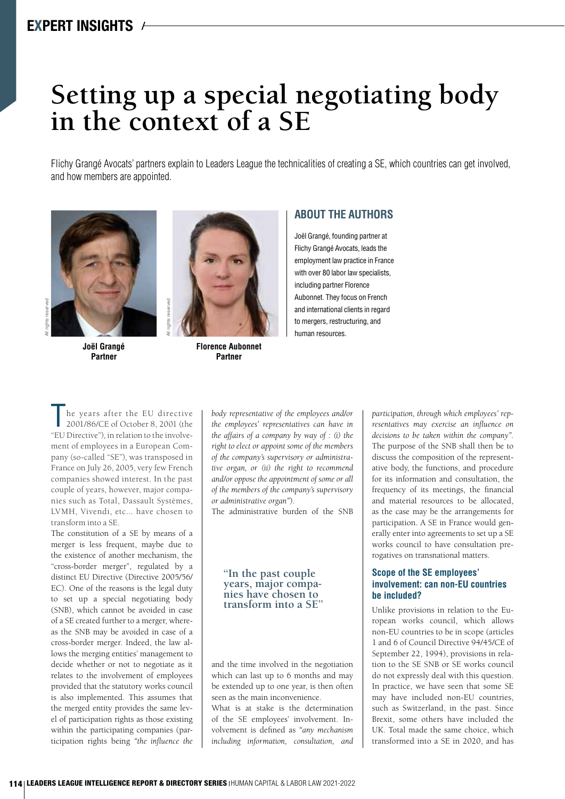# **Setting up a special negotiating body in the context of a SE**

Flichy Grangé Avocats' partners explain to Leaders League the technicalities of creating a SE, which countries can get involved, and how members are appointed.



**Joël Grangé Partner**



**Florence Aubonnet Partner**

## **ABOUT THE AUTHORS**

Joël Grangé, founding partner at Flichy Grangé Avocats, leads the employment law practice in France with over 80 labor law specialists, including partner Florence Aubonnet. They focus on French and international clients in regard to mergers, restructuring, and human resources.

he years after the EU directive 2001/86/CE of October 8, 2001 (the "EU Directive"), in relation to the involvement of employees in a European Company (so-called "SE"), was transposed in France on July 26, 2005, very few French companies showed interest. In the past couple of years, however, major companies such as Total, Dassault Systèmes, LVMH, Vivendi, etc... have chosen to transform into a SE.

The constitution of a SE by means of a merger is less frequent, maybe due to the existence of another mechanism, the "cross-border merger", regulated by a distinct EU Directive (Directive 2005/56/ EC). One of the reasons is the legal duty to set up a special negotiating body (SNB), which cannot be avoided in case of a SE created further to a merger, whereas the SNB may be avoided in case of a cross-border merger. Indeed, the law allows the merging entities' management to decide whether or not to negotiate as it relates to the involvement of employees provided that the statutory works council is also implemented. This assumes that the merged entity provides the same level of participation rights as those existing within the participating companies (participation rights being *"the influence the*  *body representative of the employees and/or the employees' representatives can have in the affairs of a company by way of : (i) the right to elect or appoint some of the members of the company's supervisory or administrative organ, or (ii) the right to recommend and/or oppose the appointment of some or all of the members of the company's supervisory or administrative organ"*).

The administrative burden of the SNB

## **''In the past couple years, major compa- nies have chosen to transform into a SE''**

and the time involved in the negotiation which can last up to 6 months and may be extended up to one year, is then often seen as the main inconvenience. What is at stake is the determination

of the SE employees' involvement. Involvement is defined as *"any mechanism including information, consultation, and* 

*participation, through which employees' representatives may exercise an influence on decisions to be taken within the company".* The purpose of the SNB shall then be to discuss the composition of the representative body, the functions, and procedure for its information and consultation, the frequency of its meetings, the financial and material resources to be allocated, as the case may be the arrangements for participation. A SE in France would generally enter into agreements to set up a SE works council to have consultation prerogatives on transnational matters.

## **Scope of the SE employees' involvement: can non-EU countries be included?**

Unlike provisions in relation to the European works council, which allows non-EU countries to be in scope (articles 1 and 6 of Council Directive 94/45/CE of September 22, 1994), provisions in relation to the SE SNB or SE works council do not expressly deal with this question. In practice, we have seen that some SE may have included non-EU countries, such as Switzerland, in the past. Since Brexit, some others have included the UK. Total made the same choice, which transformed into a SE in 2020, and has